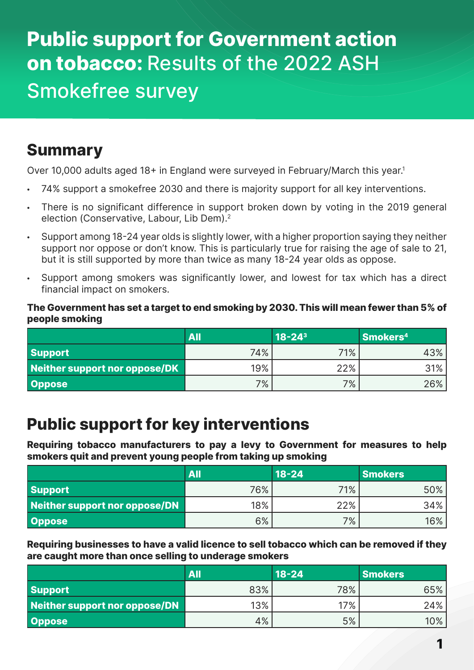# **Public support for Government action on tobacco:** Results of the 2022 ASH Smokefree survey

### **Summary**

Over 10,000 adults aged 18+ in England were surveyed in February/March this year.<sup>1</sup>

- 74% support a smokefree 2030 and there is majority support for all key interventions.
- There is no significant difference in support broken down by voting in the 2019 general election (Conservative, Labour, Lib Dem).<sup>2</sup>
- Support among 18-24 year olds is slightly lower, with a higher proportion saying they neither support nor oppose or don't know. This is particularly true for raising the age of sale to 21, but it is still supported by more than twice as many 18-24 year olds as oppose.
- Support among smokers was significantly lower, and lowest for tax which has a direct financial impact on smokers.

#### **The Government has set a target to end smoking by 2030. This will mean fewer than 5% of people smoking**

|                               | <b>All</b> | $18 - 24$ <sup>3</sup> | Smokers <sup>4</sup> |
|-------------------------------|------------|------------------------|----------------------|
| <b>Support</b>                | 74%        | 71%                    | 43%                  |
| Neither support nor oppose/DK | 19%        | 22%                    | 31%                  |
| Oppose                        | 7%         | 7%                     | 26%                  |

### **Public support for key interventions**

**Requiring tobacco manufacturers to pay a levy to Government for measures to help smokers quit and prevent young people from taking up smoking**

|                               | All | $18 - 24$ | <b>Smokers</b> |
|-------------------------------|-----|-----------|----------------|
| <b>Support</b>                | 76% | 71%       | 50%            |
| Neither support nor oppose/DN | 18% | 22%       | 34%            |
| Oppose                        | 6%  | $7\%$     | 16%            |

**Requiring businesses to have a valid licence to sell tobacco which can be removed if they are caught more than once selling to underage smokers**

|                               | All | $18 - 24$ | <b>Smokers</b> |
|-------------------------------|-----|-----------|----------------|
| <b>Support</b>                | 83% | 78%       | 65%            |
| Neither support nor oppose/DN | 13% | 17%       | $24\%$         |
| <b>Oppose</b>                 | 4%  | 5%        | 10%            |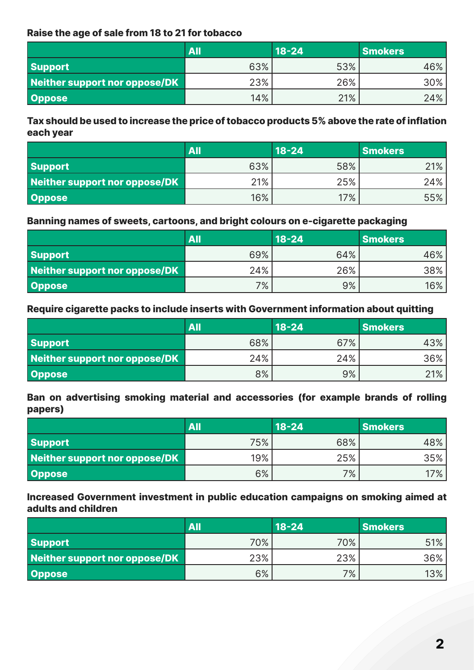#### **Raise the age of sale from 18 to 21 for tobacco**

|                               | All | $18 - 24$ | <b>Smokers</b> |
|-------------------------------|-----|-----------|----------------|
| <b>Support</b>                | 63% | 53%       | 46%            |
| Neither support nor oppose/DK | 23% | 26%       | 30%            |
| <b>Oppose</b>                 | 14% | 21%       | 24%            |

#### **Tax should be used to increase the price of tobacco products 5% above the rate of inflation each year**

|                               | All    | $18 - 24$ | <b>Smokers</b> |
|-------------------------------|--------|-----------|----------------|
| <b>Support</b>                | 63%    | 58%       | 21%            |
| Neither support nor oppose/DK | $21\%$ | 25%       | 24%            |
| <b>Oppose</b>                 | 16%    | $17\%$    | 55%            |

### **Banning names of sweets, cartoons, and bright colours on e-cigarette packaging**

|                               | All | $18 - 24$ | <b>Smokers</b> |
|-------------------------------|-----|-----------|----------------|
| <b>Support</b>                | 69% | 64%       | 46%            |
| Neither support nor oppose/DK | 24% | 26%       | 38%            |
| Oppose                        | 7%  | 9%        | $16\%$         |

#### **Require cigarette packs to include inserts with Government information about quitting**

|                               | All | $18 - 24$ | <b>Smokers</b> |
|-------------------------------|-----|-----------|----------------|
| <b>Support</b>                | 68% | 67%       | 43%            |
| Neither support nor oppose/DK | 24% | 24%       | 36%            |
| Oppose                        | 8%  | 9%        | 21%            |

#### **Ban on advertising smoking material and accessories (for example brands of rolling papers)**

|                               | <b>All</b> | $18 - 24$ | <b>Smokers</b> |
|-------------------------------|------------|-----------|----------------|
| Support                       | 75%        | 68%       | 48%            |
| Neither support nor oppose/DK | 19%        | 25%       | 35%            |
| Oppose                        | 6%         | 7%        | 17%            |

#### **Increased Government investment in public education campaigns on smoking aimed at adults and children**

|                               | <b>AII</b> | $18 - 24$ | <b>Smokers</b> |
|-------------------------------|------------|-----------|----------------|
| <b>Support</b>                | 70%        | 70%       | 51%            |
| Neither support nor oppose/DK | 23%        | 23%       | $36\%$         |
| <b>Oppose</b>                 | 6%         | 7%        | 13%            |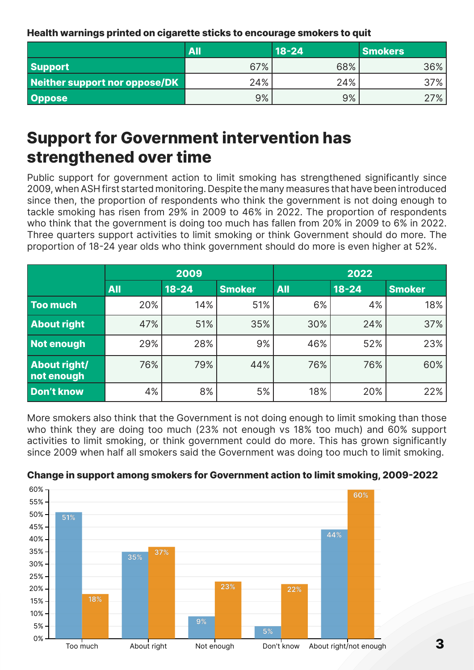**Health warnings printed on cigarette sticks to encourage smokers to quit**

|                               | All | $18 - 24$ | <b>Smokers</b> |
|-------------------------------|-----|-----------|----------------|
| <b>Support</b>                | 67% | 68%       | 36%            |
| Neither support nor oppose/DK | 24% | 24%       | 37%            |
| <b>Oppose</b>                 | 9%  | 9%        | 27%            |

## **Support for Government intervention has strengthened over time**

Public support for government action to limit smoking has strengthened significantly since 2009, when ASH first started monitoring. Despite the many measures that have been introduced since then, the proportion of respondents who think the government is not doing enough to tackle smoking has risen from 29% in 2009 to 46% in 2022. The proportion of respondents who think that the government is doing too much has fallen from 20% in 2009 to 6% in 2022. Three quarters support activities to limit smoking or think Government should do more. The proportion of 18-24 year olds who think government should do more is even higher at 52%.

|                                   | 2009       |           |               | 2022       |           |               |
|-----------------------------------|------------|-----------|---------------|------------|-----------|---------------|
|                                   | <b>All</b> | $18 - 24$ | <b>Smoker</b> | <b>All</b> | $18 - 24$ | <b>Smoker</b> |
| <b>Too much</b>                   | 20%        | 14%       | 51%           | 6%         | 4%        | 18%           |
| <b>About right</b>                | 47%        | 51%       | 35%           | 30%        | 24%       | 37%           |
| Not enough                        | 29%        | 28%       | 9%            | 46%        | 52%       | 23%           |
| <b>About right/</b><br>not enough | 76%        | 79%       | 44%           | 76%        | 76%       | 60%           |
| <b>Don't know</b>                 | 4%         | 8%        | 5%            | 18%        | 20%       | 22%           |

More smokers also think that the Government is not doing enough to limit smoking than those who think they are doing too much (23% not enough vs 18% too much) and 60% support activities to limit smoking, or think government could do more. This has grown significantly since 2009 when half all smokers said the Government was doing too much to limit smoking.



#### **Change in support among smokers for Government action to limit smoking, 2009-2022**